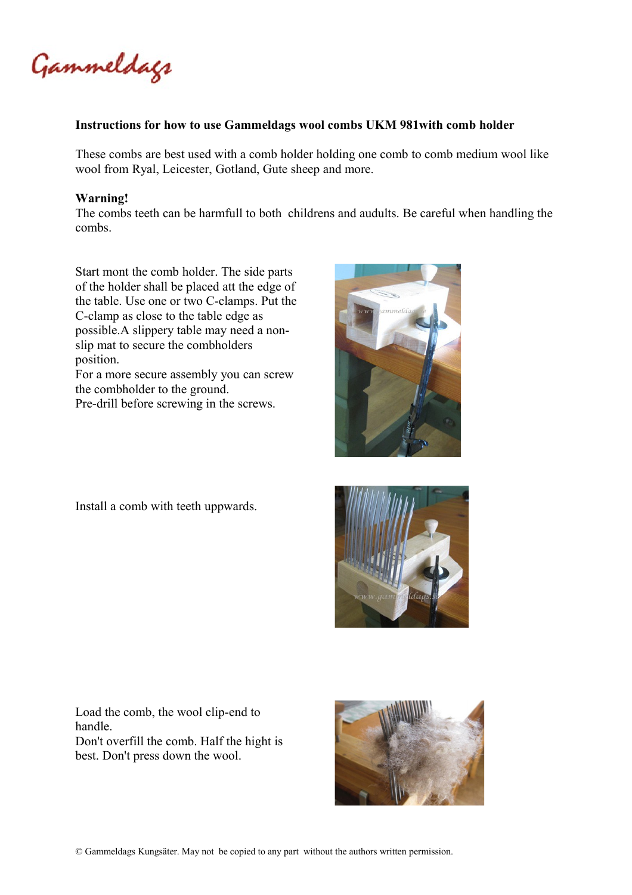Gammeldags

## **Instructions for how to use Gammeldags wool combs UKM 981with comb holder**

These combs are best used with a comb holder holding one comb to comb medium wool like wool from Ryal, Leicester, Gotland, Gute sheep and more.

## **Warning!**

The combs teeth can be harmfull to both childrens and audults. Be careful when handling the combs.

Start mont the comb holder. The side parts of the holder shall be placed att the edge of the table. Use one or two C-clamps. Put the C-clamp as close to the table edge as possible.A slippery table may need a nonslip mat to secure the combholders position. For a more secure assembly you can screw the combholder to the ground.

Pre-drill before screwing in the screws.

Install a comb with teeth uppwards.





Load the comb, the wool clip-end to handle. Don't overfill the comb. Half the hight is best. Don't press down the wool.



© Gammeldags Kungsäter. May not be copied to any part without the authors written permission.